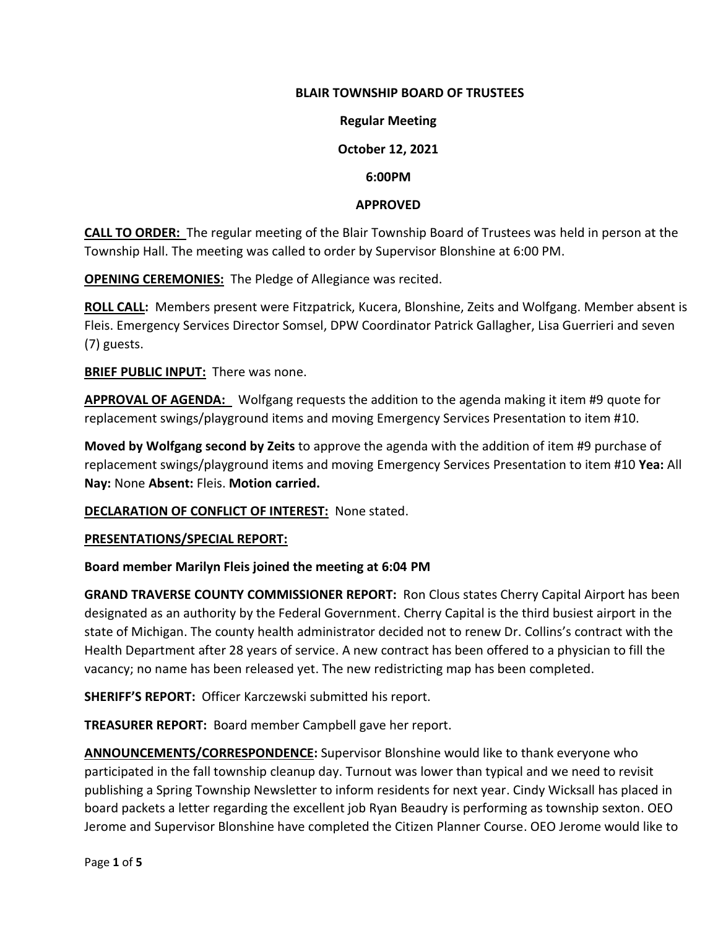## **BLAIR TOWNSHIP BOARD OF TRUSTEES**

#### **Regular Meeting**

## **October 12, 2021**

#### **6:00PM**

#### **APPROVED**

**CALL TO ORDER:** The regular meeting of the Blair Township Board of Trustees was held in person at the Township Hall. The meeting was called to order by Supervisor Blonshine at 6:00 PM.

**OPENING CEREMONIES:** The Pledge of Allegiance was recited.

**ROLL CALL:** Members present were Fitzpatrick, Kucera, Blonshine, Zeits and Wolfgang. Member absent is Fleis. Emergency Services Director Somsel, DPW Coordinator Patrick Gallagher, Lisa Guerrieri and seven (7) guests.

**BRIEF PUBLIC INPUT:** There was none.

**APPROVAL OF AGENDA:** Wolfgang requests the addition to the agenda making it item #9 quote for replacement swings/playground items and moving Emergency Services Presentation to item #10.

**Moved by Wolfgang second by Zeits** to approve the agenda with the addition of item #9 purchase of replacement swings/playground items and moving Emergency Services Presentation to item #10 **Yea:** All **Nay:** None **Absent:** Fleis. **Motion carried.**

**DECLARATION OF CONFLICT OF INTEREST:** None stated.

#### **PRESENTATIONS/SPECIAL REPORT:**

## **Board member Marilyn Fleis joined the meeting at 6:04 PM**

**GRAND TRAVERSE COUNTY COMMISSIONER REPORT:** Ron Clous states Cherry Capital Airport has been designated as an authority by the Federal Government. Cherry Capital is the third busiest airport in the state of Michigan. The county health administrator decided not to renew Dr. Collins's contract with the Health Department after 28 years of service. A new contract has been offered to a physician to fill the vacancy; no name has been released yet. The new redistricting map has been completed.

**SHERIFF'S REPORT:** Officer Karczewski submitted his report.

**TREASURER REPORT:** Board member Campbell gave her report.

**ANNOUNCEMENTS/CORRESPONDENCE:** Supervisor Blonshine would like to thank everyone who participated in the fall township cleanup day. Turnout was lower than typical and we need to revisit publishing a Spring Township Newsletter to inform residents for next year. Cindy Wicksall has placed in board packets a letter regarding the excellent job Ryan Beaudry is performing as township sexton. OEO Jerome and Supervisor Blonshine have completed the Citizen Planner Course. OEO Jerome would like to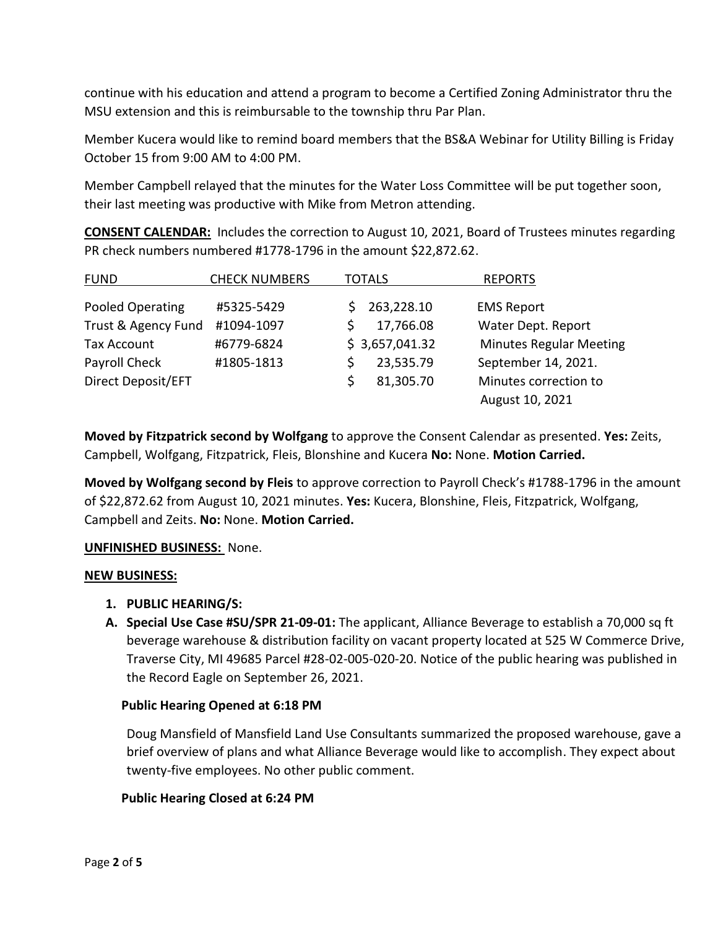continue with his education and attend a program to become a Certified Zoning Administrator thru the MSU extension and this is reimbursable to the township thru Par Plan.

Member Kucera would like to remind board members that the BS&A Webinar for Utility Billing is Friday October 15 from 9:00 AM to 4:00 PM.

Member Campbell relayed that the minutes for the Water Loss Committee will be put together soon, their last meeting was productive with Mike from Metron attending.

**CONSENT CALENDAR:** Includes the correction to August 10, 2021, Board of Trustees minutes regarding PR check numbers numbered #1778-1796 in the amount \$22,872.62.

| <b>FUND</b>         | <b>CHECK NUMBERS</b> | <b>TOTALS</b>    | <b>REPORTS</b>                 |
|---------------------|----------------------|------------------|--------------------------------|
| Pooled Operating    | #5325-5429           | 263,228.10<br>S. | <b>EMS Report</b>              |
| Trust & Agency Fund | #1094-1097           | 17,766.08        | Water Dept. Report             |
| <b>Tax Account</b>  | #6779-6824           | \$3,657,041.32   | <b>Minutes Regular Meeting</b> |
| Payroll Check       | #1805-1813           | 23,535.79        | September 14, 2021.            |
| Direct Deposit/EFT  |                      | 81,305.70        | Minutes correction to          |
|                     |                      |                  | August 10, 2021                |

**Moved by Fitzpatrick second by Wolfgang** to approve the Consent Calendar as presented. **Yes:** Zeits, Campbell, Wolfgang, Fitzpatrick, Fleis, Blonshine and Kucera **No:** None. **Motion Carried.**

**Moved by Wolfgang second by Fleis** to approve correction to Payroll Check's #1788-1796 in the amount of \$22,872.62 from August 10, 2021 minutes. **Yes:** Kucera, Blonshine, Fleis, Fitzpatrick, Wolfgang, Campbell and Zeits. **No:** None. **Motion Carried.**

## **UNFINISHED BUSINESS:** None.

## **NEW BUSINESS:**

- **1. PUBLIC HEARING/S:**
- **A. Special Use Case #SU/SPR 21-09-01:** The applicant, Alliance Beverage to establish a 70,000 sq ft beverage warehouse & distribution facility on vacant property located at 525 W Commerce Drive, Traverse City, MI 49685 Parcel #28-02-005-020-20. Notice of the public hearing was published in the Record Eagle on September 26, 2021.

## **Public Hearing Opened at 6:18 PM**

Doug Mansfield of Mansfield Land Use Consultants summarized the proposed warehouse, gave a brief overview of plans and what Alliance Beverage would like to accomplish. They expect about twenty-five employees. No other public comment.

## **Public Hearing Closed at 6:24 PM**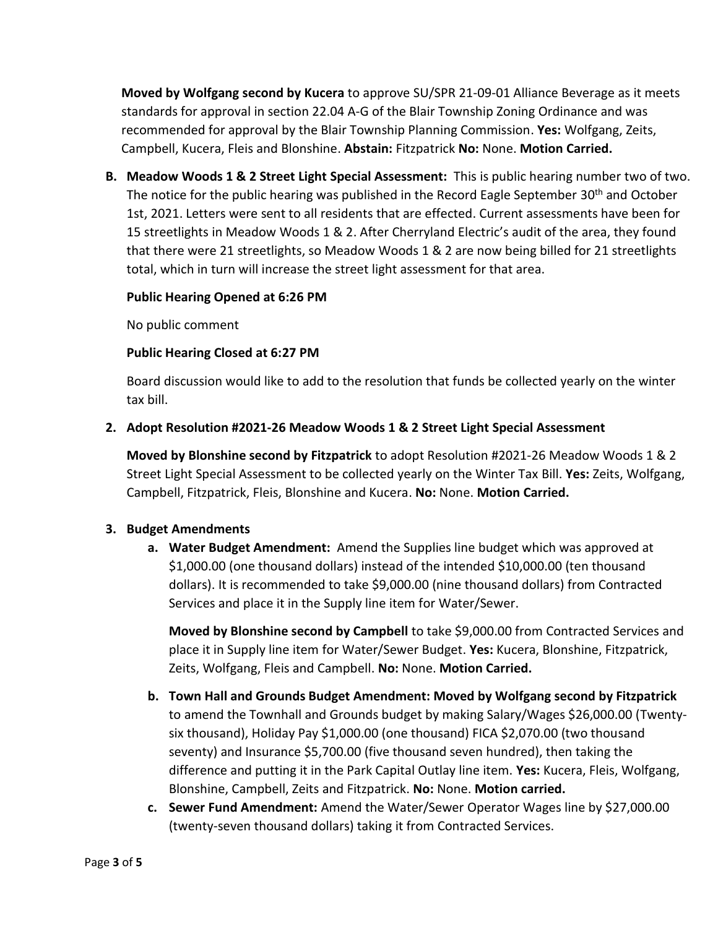**Moved by Wolfgang second by Kucera** to approve SU/SPR 21-09-01 Alliance Beverage as it meets standards for approval in section 22.04 A-G of the Blair Township Zoning Ordinance and was recommended for approval by the Blair Township Planning Commission. **Yes:** Wolfgang, Zeits, Campbell, Kucera, Fleis and Blonshine. **Abstain:** Fitzpatrick **No:** None. **Motion Carried.**

**B. Meadow Woods 1 & 2 Street Light Special Assessment:** This is public hearing number two of two. The notice for the public hearing was published in the Record Eagle September  $30<sup>th</sup>$  and October 1st, 2021. Letters were sent to all residents that are effected. Current assessments have been for 15 streetlights in Meadow Woods 1 & 2. After Cherryland Electric's audit of the area, they found that there were 21 streetlights, so Meadow Woods 1 & 2 are now being billed for 21 streetlights total, which in turn will increase the street light assessment for that area.

## **Public Hearing Opened at 6:26 PM**

No public comment

# **Public Hearing Closed at 6:27 PM**

Board discussion would like to add to the resolution that funds be collected yearly on the winter tax bill.

# **2. Adopt Resolution #2021-26 Meadow Woods 1 & 2 Street Light Special Assessment**

**Moved by Blonshine second by Fitzpatrick** to adopt Resolution #2021-26 Meadow Woods 1 & 2 Street Light Special Assessment to be collected yearly on the Winter Tax Bill. **Yes:** Zeits, Wolfgang, Campbell, Fitzpatrick, Fleis, Blonshine and Kucera. **No:** None. **Motion Carried.**

# **3. Budget Amendments**

**a. Water Budget Amendment:** Amend the Supplies line budget which was approved at \$1,000.00 (one thousand dollars) instead of the intended \$10,000.00 (ten thousand dollars). It is recommended to take \$9,000.00 (nine thousand dollars) from Contracted Services and place it in the Supply line item for Water/Sewer.

**Moved by Blonshine second by Campbell** to take \$9,000.00 from Contracted Services and place it in Supply line item for Water/Sewer Budget. **Yes:** Kucera, Blonshine, Fitzpatrick, Zeits, Wolfgang, Fleis and Campbell. **No:** None. **Motion Carried.** 

- **b. Town Hall and Grounds Budget Amendment: Moved by Wolfgang second by Fitzpatrick**  to amend the Townhall and Grounds budget by making Salary/Wages \$26,000.00 (Twentysix thousand), Holiday Pay \$1,000.00 (one thousand) FICA \$2,070.00 (two thousand seventy) and Insurance \$5,700.00 (five thousand seven hundred), then taking the difference and putting it in the Park Capital Outlay line item. **Yes:** Kucera, Fleis, Wolfgang, Blonshine, Campbell, Zeits and Fitzpatrick. **No:** None. **Motion carried.**
- **c. Sewer Fund Amendment:** Amend the Water/Sewer Operator Wages line by \$27,000.00 (twenty-seven thousand dollars) taking it from Contracted Services.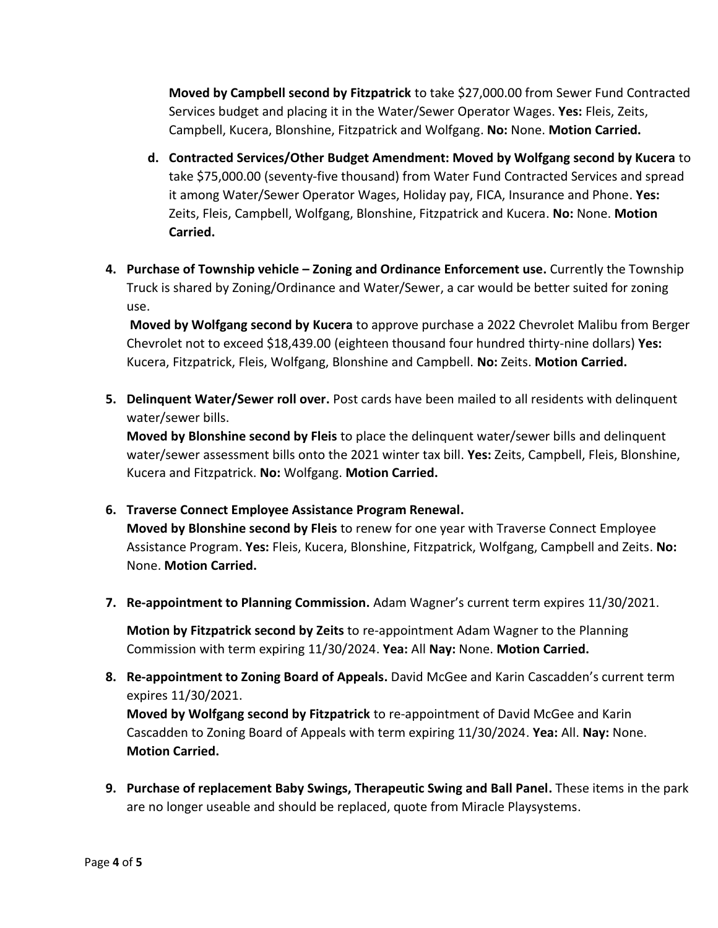**Moved by Campbell second by Fitzpatrick** to take \$27,000.00 from Sewer Fund Contracted Services budget and placing it in the Water/Sewer Operator Wages. **Yes:** Fleis, Zeits, Campbell, Kucera, Blonshine, Fitzpatrick and Wolfgang. **No:** None. **Motion Carried.**

- **d. Contracted Services/Other Budget Amendment: Moved by Wolfgang second by Kucera** to take \$75,000.00 (seventy-five thousand) from Water Fund Contracted Services and spread it among Water/Sewer Operator Wages, Holiday pay, FICA, Insurance and Phone. **Yes:**  Zeits, Fleis, Campbell, Wolfgang, Blonshine, Fitzpatrick and Kucera. **No:** None. **Motion Carried.**
- **4. Purchase of Township vehicle – Zoning and Ordinance Enforcement use.** Currently the Township Truck is shared by Zoning/Ordinance and Water/Sewer, a car would be better suited for zoning use.

**Moved by Wolfgang second by Kucera** to approve purchase a 2022 Chevrolet Malibu from Berger Chevrolet not to exceed \$18,439.00 (eighteen thousand four hundred thirty-nine dollars) **Yes:**  Kucera, Fitzpatrick, Fleis, Wolfgang, Blonshine and Campbell. **No:** Zeits. **Motion Carried.**

**5. Delinquent Water/Sewer roll over.** Post cards have been mailed to all residents with delinquent water/sewer bills.

**Moved by Blonshine second by Fleis** to place the delinquent water/sewer bills and delinquent water/sewer assessment bills onto the 2021 winter tax bill. **Yes:** Zeits, Campbell, Fleis, Blonshine, Kucera and Fitzpatrick. **No:** Wolfgang. **Motion Carried.**

**6. Traverse Connect Employee Assistance Program Renewal.**

**Moved by Blonshine second by Fleis** to renew for one year with Traverse Connect Employee Assistance Program. **Yes:** Fleis, Kucera, Blonshine, Fitzpatrick, Wolfgang, Campbell and Zeits. **No:**  None. **Motion Carried.** 

**7. Re-appointment to Planning Commission.** Adam Wagner's current term expires 11/30/2021.

**Motion by Fitzpatrick second by Zeits** to re-appointment Adam Wagner to the Planning Commission with term expiring 11/30/2024. **Yea:** All **Nay:** None. **Motion Carried.**

- **8. Re-appointment to Zoning Board of Appeals.** David McGee and Karin Cascadden's current term expires 11/30/2021. **Moved by Wolfgang second by Fitzpatrick** to re-appointment of David McGee and Karin Cascadden to Zoning Board of Appeals with term expiring 11/30/2024. **Yea:** All. **Nay:** None. **Motion Carried.**
- **9. Purchase of replacement Baby Swings, Therapeutic Swing and Ball Panel.** These items in the park are no longer useable and should be replaced, quote from Miracle Playsystems.